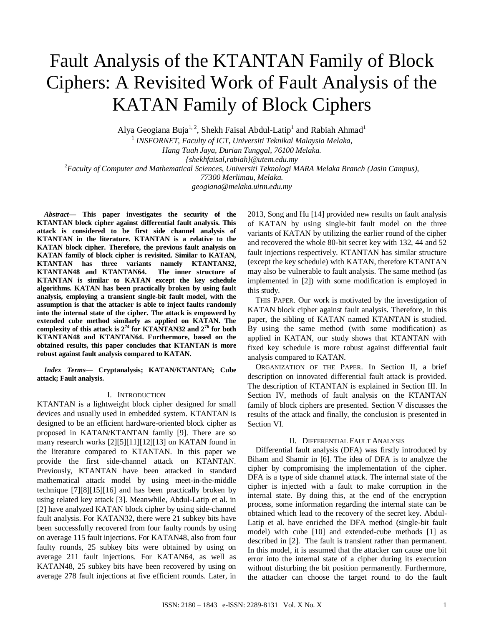# Fault Analysis of the KTANTAN Family of Block Ciphers: A Revisited Work of Fault Analysis of the KATAN Family of Block Ciphers

Alya Geogiana Buja<sup>1, 2</sup>, Shekh Faisal Abdul-Latip<sup>1</sup> and Rabiah Ahmad<sup>1</sup>

1 *INSFORNET, Faculty of ICT, Universiti Teknikal Malaysia Melaka, Hang Tuah Jaya, Durian Tunggal, 76100 Melaka. {shekhfaisal,rabiah}@utem.edu.my <sup>2</sup>Faculty of Computer and Mathematical Sciences, Universiti Teknologi MARA Melaka Branch (Jasin Campus), 77300 Merlimau, Melaka. geogiana@melaka.uitm.edu.my*

*Abstract***— This paper investigates the security of the KTANTAN block cipher against differential fault analysis. This attack is considered to be first side channel analysis of KTANTAN in the literature. KTANTAN is a relative to the KATAN block cipher. Therefore, the previous fault analysis on KATAN family of block cipher is revisited. Similar to KATAN, KTANTAN has three variants namely KTANTAN32, KTANTAN48 and KTANTAN64. The inner structure of KTANTAN is similar to KATAN except the key schedule algorithms. KATAN has been practically broken by using fault analysis, employing a transient single-bit fault model, with the assumption is that the attacker is able to inject faults randomly into the internal state of the cipher. The attack is empowerd by extended cube method similarly as applied on KATAN. The complexity of this attack is 2<sup>74</sup> for KTANTAN32 and 2<sup>76</sup> for both KTANTAN48 and KTANTAN64. Furthermore, based on the obtained results, this paper concludes that KTANTAN is more robust against fault analysis compared to KATAN.**

*Index Terms***— Cryptanalysis; KATAN/KTANTAN; Cube attack; Fault analysis.**

# I. INTRODUCTION

KTANTAN is a lightweight block cipher designed for small devices and usually used in embedded system. KTANTAN is designed to be an efficient hardware-oriented block cipher as proposed in KATAN/KTANTAN family [9]. There are so many research works [2][5][11][12][13] on KATAN found in the literature compared to KTANTAN. In this paper we provide the first side-channel attack on KTANTAN. Previously, KTANTAN have been attacked in standard mathematical attack model by using meet-in-the-middle technique [7][8][15][16] and has been practically broken by using related key attack [3]. Meanwhile, Abdul-Latip et al. in [2] have analyzed KATAN block cipher by using side-channel fault analysis. For KATAN32, there were 21 subkey bits have been successfully recovered from four faulty rounds by using on average 115 fault injections. For KATAN48, also from four faulty rounds, 25 subkey bits were obtained by using on average 211 fault injections. For KATAN64, as well as KATAN48, 25 subkey bits have been recovered by using on average 278 fault injections at five efficient rounds. Later, in

2013, Song and Hu [14] provided new results on fault analysis of KATAN by using single-bit fault model on the three variants of KATAN by utilizing the earlier round of the cipher and recovered the whole 80-bit secret key with 132, 44 and 52 fault injections respectively. KTANTAN has similar structure (except the key schedule) with KATAN, therefore KTANTAN may also be vulnerable to fault analysis. The same method (as implemented in [2]) with some modification is employed in this study.

THIS PAPER. Our work is motivated by the investigation of KATAN block cipher against fault analysis. Therefore, in this paper, the sibling of KATAN named KTANTAN is studied. By using the same method (with some modification) as applied in KATAN, our study shows that KTANTAN with fixed key schedule is more robust against differential fault analysis compared to KATAN.

ORGANIZATION OF THE PAPER. In Section II, a brief description on innovated differential fault attack is provided. The description of KTANTAN is explained in Section III. In Section IV, methods of fault analysis on the KTANTAN family of block ciphers are presented. Section V discusses the results of the attack and finally, the conclusion is presented in Section VI.

# II. DIFFERENTIAL FAULT ANALYSIS

Differential fault analysis (DFA) was firstly introduced by Biham and Shamir in [6]. The idea of DFA is to analyze the cipher by compromising the implementation of the cipher. DFA is a type of side channel attack. The internal state of the cipher is injected with a fault to make corruption in the internal state. By doing this, at the end of the encryption process, some information regarding the internal state can be obtained which lead to the recovery of the secret key. Abdul-Latip et al. have enriched the DFA method (single-bit fault model) with cube [10] and extended-cube methods [1] as described in [2]. The fault is transient rather than permanent. In this model, it is assumed that the attacker can cause one bit error into the internal state of a cipher during its execution without disturbing the bit position permanently. Furthermore, the attacker can choose the target round to do the fault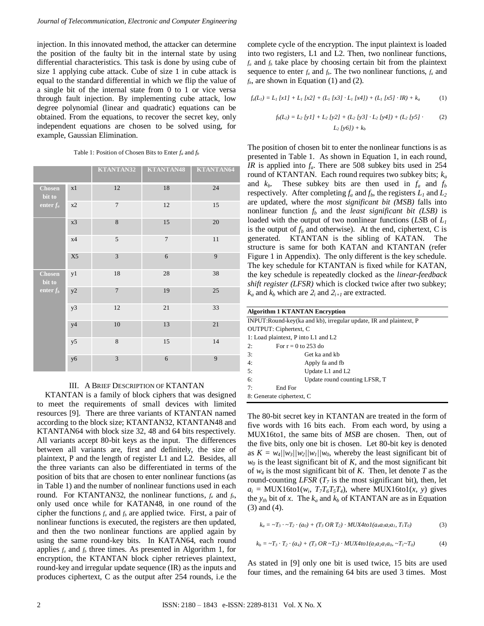injection. In this innovated method, the attacker can determine the position of the faulty bit in the internal state by using differential characteristics. This task is done by using cube of size 1 applying cube attack. Cube of size 1 in cube attack is equal to the standard differential in which we flip the value of a single bit of the internal state from 0 to 1 or vice versa through fault injection. By implementing cube attack, low degree polynomial (linear and quadratic) equations can be obtained. From the equations, to recover the secret key, only independent equations are chosen to be solved using, for example, Gaussian Elimination.

|                                        |                | KTANTAN32      | KTANTAN48      | KTANTAN64 |
|----------------------------------------|----------------|----------------|----------------|-----------|
| Chosen<br>bit to<br>enter $f_a$        | x1             | 12             | 18             | 24        |
|                                        | x2             | $\overline{7}$ | 12             | 15        |
|                                        | x3             | 8              | 15             | 20        |
|                                        | x4             | 5              | $\overline{7}$ | 11        |
|                                        | X <sub>5</sub> | 3              | 6              | 9         |
| <b>Chosen</b><br>bit to<br>enter $f_b$ | y1             | 18             | 28             | 38        |
|                                        | y2             | $\overline{7}$ | 19             | 25        |
|                                        | y3             | 12             | $21\,$         | 33        |
|                                        | y4             | 10             | 13             | $21\,$    |
|                                        | y5             | 8              | 15             | 14        |
|                                        | y6             | 3              | 6              | 9         |

Table 1: Position of Chosen Bits to Enter *f<sup>a</sup>* and *f<sup>b</sup>*

# III. A BRIEF DESCRIPTION OF KTANTAN

KTANTAN is a family of block ciphers that was designed to meet the requirements of small devices with limited resources [9]. There are three variants of KTANTAN named according to the block size; KTANTAN32, KTANTAN48 and KTANTAN64 with block size 32, 48 and 64 bits respectively. All variants accept 80-bit keys as the input. The differences between all variants are, first and definitely, the size of plaintext, P and the length of register L1 and L2. Besides, all the three variants can also be differentiated in terms of the position of bits that are chosen to enter nonlinear functions (as in Table 1) and the number of nonlinear functions used in each round. For KTANTAN32, the nonlinear functions, *f<sup>a</sup>* and *fb*, only used once while for KATAN48, in one round of the cipher the functions  $f_a$  and  $f_b$  are applied twice. First, a pair of nonlinear functions is executed, the registers are then updated, and then the two nonlinear functions are applied again by using the same round-key bits. In KATAN64, each round applies  $f_a$  and  $f_b$  three times. As presented in Algorithm 1, for encryption, the KTANTAN block cipher retrieves plaintext, round-key and irregular update sequence (IR) as the inputs and produces ciphertext, C as the output after 254 rounds, i.e the complete cycle of the encryption. The input plaintext is loaded into two registers, L1 and L2. Then, two nonlinear functions,  $f_a$  and  $f_b$  take place by choosing certain bit from the plaintext sequence to enter  $f_a$  and  $f_b$ . The two nonlinear functions,  $f_a$  and  $f_b$ , are shown in Equation (1) and (2).

$$
f_a(L_1) = L_1[xI] + L_1[x2] + (L_1[x3] \cdot L_1[x4]) + (L_1[x5] \cdot IR) + k_a
$$
 (1)

$$
f_b(L_2) = L_2 [yI] + L_2 [y2] + (L_2 [y3] \cdot L_2 [y4]) + (L_2 [y5] \cdot (2)
$$
  

$$
L_2 [y6]) + k_b
$$
 (2)

The position of chosen bit to enter the nonlinear functions is as presented in Table 1. As shown in Equation 1, in each round, *IR* is applied into *fa*. There are 508 subkey bits used in 254 round of KTANTAN. Each round requires two subkey bits; *k<sup>a</sup>* and  $k_b$ . These subkey bits are then used in  $f_a$  and  $f_b$ respectively. After completing  $f_a$  and  $f_b$ , the registers  $L_1$  and  $L_2$ are updated, where the *most significant bit (MSB)* falls into nonlinear function  $f_b$  and the *least significant bit (LSB)* is loaded with the output of two nonlinear functions (*LS*B of *L<sup>1</sup>* is the output of  $f_b$  and otherwise). At the end, ciphertext, C is generated. KTANTAN is the sibling of KATAN. The structure is same for both KATAN and KTANTAN (refer Figure 1 in Appendix). The only different is the key schedule. The key schedule for KTANTAN is fixed while for KATAN, the key schedule is repeatedly clocked as the *linear-feedback shift register (LFSR)* which is clocked twice after two subkey;  $k_a$  and  $k_b$  which are  $2_i$  and  $2_{i+1}$  are extracted.

| <b>Algorithm 1 KTANTAN Encryption</b>                             |  |  |  |
|-------------------------------------------------------------------|--|--|--|
| INPUT:Round-key(ka and kb), irregular update, IR and plaintext, P |  |  |  |
| OUTPUT: Ciphertext, C                                             |  |  |  |
| 1: Load plaintext, P into L1 and L2                               |  |  |  |
| For $r = 0$ to 253 do<br>2:                                       |  |  |  |
| 3:<br>Get ka and kb                                               |  |  |  |
| 4:<br>Apply fa and fb                                             |  |  |  |
| 5:<br>Update L1 and L2                                            |  |  |  |
| Update round counting LFSR, T<br>6:                               |  |  |  |
| End For<br>7:                                                     |  |  |  |
| 8: Generate ciphertext, C                                         |  |  |  |

The 80-bit secret key in KTANTAN are treated in the form of five words with 16 bits each. From each word, by using a MUX16to1, the same bits of *MSB* are chosen. Then, out of the five bits, only one bit is chosen. Let 80-bit key is denoted as  $K = w_4 / |w_3| / |w_2| / |w_1| / w_0$ , whereby the least significant bit of  $w_0$  is the least significant bit of *K*, and the most significant bit of *w<sup>4</sup>* is the most significant bit of *K*. Then, let denote *T* as the round-counting *LFSR*  $(T_7)$  is the most significant bit), then, let  $a_i$  = MUX16to1( $w_i$ ,  $T_7T_6T_5T_4$ ), where MUX16to1( $x$ ,  $y$ ) gives the  $y_{th}$  bit of x. The  $k_a$  and  $k_b$  of KTANTAN are as in Equation (3) and (4).

$$
k_a = -T_3 \cdot -T_2 \cdot (a_0) + (T_3 \text{ OR } T_2) \cdot \text{MUX4tol}(a_4a_3a_2a_1, T_1T_0)
$$
(3)

$$
k_b = \sim T_3 \cdot T_2 \cdot (a_4) + (T_3 \cdot OR \sim T_2) \cdot MUX4tol(a_3a_2a_1a_0, \sim T_1 \sim T_0)
$$
 (4)

As stated in [9] only one bit is used twice, 15 bits are used four times, and the remaining 64 bits are used 3 times. Most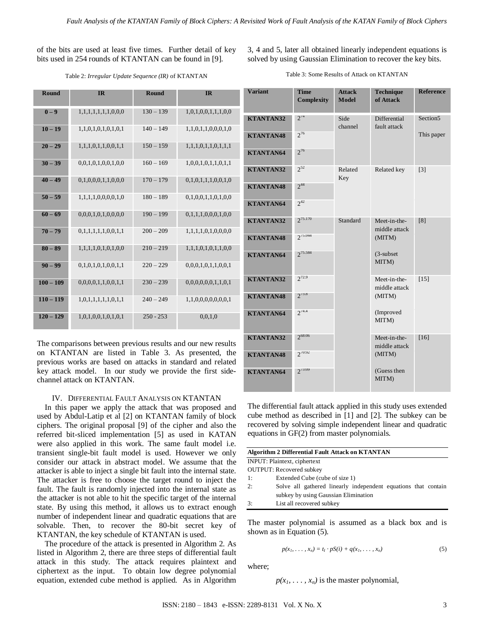of the bits are used at least five times. Further detail of key bits used in 254 rounds of KTANTAN can be found in [9].

3, 4 and 5, later all obtained linearly independent equations is solved by using Gaussian Elimination to recover the key bits.

Table 2: *Irregular Update Sequence (IR)* of KTANTAN

| Round       | <b>IR</b>           | Round       | <b>IR</b>           | Vari       |
|-------------|---------------------|-------------|---------------------|------------|
| $0 - 9$     | 1,1,1,1,1,1,1,0,0,0 | $130 - 139$ | 1,0,1,0,0,1,1,1,0,0 | <b>KTA</b> |
| $10 - 19$   | 1,1,0,1,0,1,0,1,0,1 | $140 - 149$ | 1,1,0,1,1,0,0,0,1,0 | <b>KTA</b> |
| $20 - 29$   | 1,1,1,0,1,1,0,0,1,1 | $150 - 159$ | 1,1,1,0,1,1,0,1,1,1 | <b>KTA</b> |
| $30 - 39$   | 0,0,1,0,1,0,0,1,0,0 | $160 - 169$ | 1,0,0,1,0,1,1,0,1,1 | <b>KTA</b> |
| $40 - 49$   | 0,1,0,0,0,1,1,0,0,0 | $170 - 179$ | 0,1,0,1,1,1,0,0,1,0 | <b>KTA</b> |
| $50 - 59$   | 1,1,1,1,0,0,0,0,1,0 | $180 - 189$ | 0,1,0,0,1,1,0,1,0,0 | <b>KTA</b> |
| $60 - 69$   | 0,0,0,1,0,1,0,0,0,0 | $190 - 199$ | 0,1,1,1,0,0,0,1,0,0 | <b>KTA</b> |
| $70 - 79$   | 0,1,1,1,1,1,0,0,1,1 | $200 - 209$ | 1,1,1,1,0,1,0,0,0,0 | <b>KTA</b> |
| $80 - 89$   | 1,1,1,1,0,1,0,1,0,0 | $210 - 219$ | 1,1,1,0,1,0,1,1,0,0 | <b>KTA</b> |
| $90 - 99$   | 0,1,0,1,0,1,0,0,1,1 | $220 - 229$ | 0,0,0,1,0,1,1,0,0,1 |            |
| $100 - 109$ | 0,0,0,0,1,1,0,0,1,1 | $230 - 239$ | 0,0,0,0,0,0,1,1,0,1 | <b>KTA</b> |
| $110 - 119$ | 1,0,1,1,1,1,1,0,1,1 | $240 - 249$ | 1,1,0,0,0,0,0,0,0,1 | <b>KTA</b> |
| $120 - 129$ | 1,0,1,0,0,1,0,1,0,1 | $250 - 253$ | 0,0,1,0             | <b>KTA</b> |
|             |                     |             |                     |            |

The comparisons between previous results and our new results on KTANTAN are listed in Table 3. As presented, the previous works are based on attacks in standard and related key attack model. In our study we provide the first sidechannel attack on KTANTAN.

## IV. DIFFERENTIAL FAULT ANALYSIS ON KTANTAN

 In this paper we apply the attack that was proposed and used by Abdul-Latip et al [2] on KTANTAN family of block ciphers. The original proposal [9] of the cipher and also the referred bit-sliced implementation [5] as used in KATAN were also applied in this work. The same fault model i.e. transient single-bit fault model is used. However we only consider our attack in abstract model. We assume that the attacker is able to inject a single bit fault into the internal state. The attacker is free to choose the target round to inject the fault. The fault is randomly injected into the internal state as the attacker is not able to hit the specific target of the internal state. By using this method, it allows us to extract enough number of independent linear and quadratic equations that are solvable. Then, to recover the 80-bit secret key of KTANTAN, the key schedule of KTANTAN is used.

 The procedure of the attack is presented in Algorithm 2. As listed in Algorithm 2, there are three steps of differential fault attack in this study. The attack requires plaintext and ciphertext as the input. To obtain low degree polynomial equation, extended cube method is applied. As in Algorithm

| <b>Variant</b>   | <b>Time</b><br>Complexity | <b>Attack</b><br><b>Model</b> | <b>Technique</b><br>of Attack | <b>Reference</b> |
|------------------|---------------------------|-------------------------------|-------------------------------|------------------|
| <b>KTANTAN32</b> | $2^{74}$                  | Side<br>channel               | Differential<br>fault attack  | Section5         |
| <b>KTANTAN48</b> | $2^{76}$                  |                               |                               | This paper       |
| <b>KTANTAN64</b> | $2^{76}$                  |                               |                               |                  |
| <b>KTANTAN32</b> | $2^{52}$                  | Related<br>Key                | Related key                   | [3]              |
| <b>KTANTAN48</b> | $2^{44}$                  |                               |                               |                  |
| <b>KTANTAN64</b> | $2^{42}$                  |                               |                               |                  |
| <b>KTANTAN32</b> | $2^{75.170}$              | Standard                      | Meet-in-the-<br>middle attack | [8]              |
| <b>KTANTAN48</b> | $2^{75.044}$              |                               | (MITM)                        |                  |
| <b>KTANTAN64</b> | $2^{75.584}$              |                               | $(3$ -subset<br>MITM)         |                  |
| <b>KTANTAN32</b> | $2^{72.9}$                |                               | Meet-in-the-<br>middle attack | $[15]$           |
| <b>KTANTAN48</b> | $2^{73.8}$                |                               | (MITM)                        |                  |
| <b>KTANTAN64</b> | $2^{74.4}$                |                               | (Improved<br>MITM)            |                  |
| <b>KTANTAN32</b> | $2^{68:06}$               |                               | Meet-in-the-<br>middle attack | [16]             |
| <b>KTANTAN48</b> | $2^{70:92}$               |                               | (MITM)                        |                  |
| <b>KTANTAN64</b> | $2^{73:09}$               |                               | (Guess then<br>MITM)          |                  |

The differential fault attack applied in this study uses extended cube method as described in [1] and [2]. The subkey can be recovered by solving simple independent linear and quadratic equations in GF(2) from master polynomials.

| <b>Algorithm 2 Differential Fault Attack on KTANTAN</b> |                                                                                                        |  |  |  |  |
|---------------------------------------------------------|--------------------------------------------------------------------------------------------------------|--|--|--|--|
|                                                         | <b>INPUT:</b> Plaintext, ciphertext                                                                    |  |  |  |  |
|                                                         | <b>OUTPUT:</b> Recovered subkey                                                                        |  |  |  |  |
| 1:                                                      | Extended Cube (cube of size 1)                                                                         |  |  |  |  |
| 2:                                                      | Solve all gathered linearly independent equations that contain<br>subkey by using Gaussian Elimination |  |  |  |  |
| 3:                                                      | List all recovered subkey                                                                              |  |  |  |  |

The master polynomial is assumed as a black box and is shown as in Equation (5).

$$
p(x_1,\ldots,x_n)=t_1\cdot pS(i)+q(x_1,\ldots,x_n) \qquad (5)
$$

where;

 $p(x_1, \ldots, x_n)$  is the master polynomial,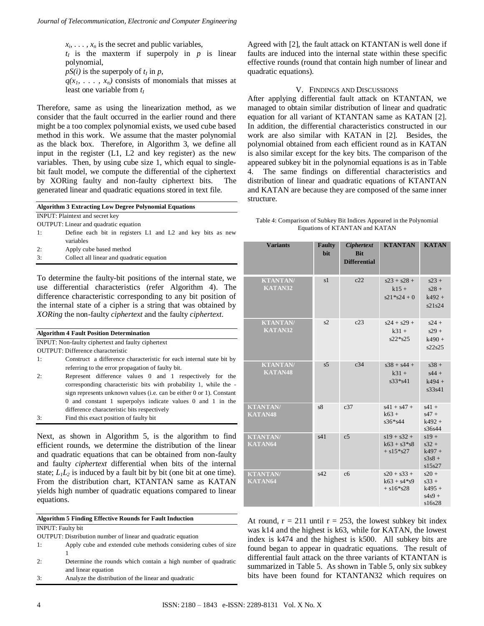$x_i, \ldots, x_n$  is the secret and public variables,

 $t_I$  is the maxterm if superpoly in  $p$  is linear polynomial,

 $pS(i)$  is the superpoly of  $t_I$  in  $p$ ,

 $q(x_1, \ldots, x_n)$  consists of monomials that misses at least one variable from *t<sup>I</sup>*

Therefore, same as using the linearization method, as we consider that the fault occurred in the earlier round and there might be a too complex polynomial exists, we used cube based method in this work. We assume that the master polynomial as the black box. Therefore, in Algorithm 3, we define all input in the register (L1, L2 and key register) as the new variables. Then, by using cube size 1, which equal to singlebit fault model, we compute the differential of the ciphertext by XORing faulty and non-faulty ciphertext bits. The generated linear and quadratic equations stored in text file.

| <b>Algorithm 3 Extracting Low Degree Polynomial Equations</b> |                                                            |  |  |  |  |  |
|---------------------------------------------------------------|------------------------------------------------------------|--|--|--|--|--|
| <b>INPUT:</b> Plaintext and secret key                        |                                                            |  |  |  |  |  |
| <b>OUTPUT:</b> Linear and quadratic equation                  |                                                            |  |  |  |  |  |
| $\pm$                                                         | Define each bit in registers L1 and L2 and key bits as new |  |  |  |  |  |
|                                                               | variables                                                  |  |  |  |  |  |
| $\sim$                                                        | .                                                          |  |  |  |  |  |

- 2: Apply cube based method
- 3: Collect all linear and quadratic equation

To determine the faulty-bit positions of the internal state, we use differential characteristics (refer Algorithm 4). The difference characteristic corresponding to any bit position of the internal state of a cipher is a string that was obtained by *XORing* the non-faulty *ciphertext* and the faulty *ciphertext*.

| <b>Algorithm 4 Fault Position Determination</b> |                                                                      |  |  |  |
|-------------------------------------------------|----------------------------------------------------------------------|--|--|--|
|                                                 | INPUT: Non-faulty ciphertext and faulty ciphertext                   |  |  |  |
|                                                 | OUTPUT: Difference characteristic                                    |  |  |  |
| 1:                                              | Construct a difference characteristic for each internal state bit by |  |  |  |
|                                                 | referring to the error propagation of faulty bit.                    |  |  |  |
| 2:                                              | Represent difference values 0 and 1 respectively for the             |  |  |  |
|                                                 | corresponding characteristic bits with probability 1, while the -    |  |  |  |
|                                                 | sign represents unknown values (i.e. can be either 0 or 1). Constant |  |  |  |
|                                                 | 0 and constant 1 superpolys indicate values 0 and 1 in the           |  |  |  |
|                                                 | difference characteristic bits respectively                          |  |  |  |
| 3:                                              | Find this exact position of faulty bit                               |  |  |  |

Next, as shown in Algorithm 5, is the algorithm to find efficient rounds, we determine the distribution of the linear and quadratic equations that can be obtained from non-faulty and faulty *ciphertext* differential when bits of the internal state;  $L_1L_2$  is induced by a fault bit by bit (one bit at one time). From the distribution chart, KTANTAN same as KATAN yields high number of quadratic equations compared to linear equations.

**Algorithm 5 Finding Effective Rounds for Fault Induction** INPUT: Faulty bit

- OUTPUT: Distribution number of linear and quadratic equation
- 1: Apply cube and extended cube methods considering cubes of size 1
- 2: Determine the rounds which contain a high number of quadratic and linear equation
- 3: Analyze the distribution of the linear and quadratic

Agreed with [2], the fault attack on KTANTAN is well done if faults are induced into the internal state within these specific effective rounds (round that contain high number of linear and quadratic equations).

# V. FINDINGS AND DISCUSSIONS

After applying differential fault attack on KTANTAN, we managed to obtain similar distribution of linear and quadratic equation for all variant of KTANTAN same as KATAN [2]. In addition, the differential characteristics constructed in our work are also similar with KATAN in [2]. Besides, the polynomial obtained from each efficient round as in KATAN is also similar except for the key bits. The comparison of the appeared subkey bit in the polynomial equations is as in Table 4. The same findings on differential characteristics and distribution of linear and quadratic equations of KTANTAN and KATAN are because they are composed of the same inner structure.

| Table 4: Comparison of Subkey Bit Indices Appeared in the Polynomial |
|----------------------------------------------------------------------|
| Equations of KTANTAN and KATAN                                       |

| <b>Variants</b>                   | <b>Faulty</b><br><b>bit</b> | <b>Ciphertext</b><br><b>Bit</b><br><b>Differential</b> | <b>KTANTAN</b>                                  | <b>KATAN</b>                                         |
|-----------------------------------|-----------------------------|--------------------------------------------------------|-------------------------------------------------|------------------------------------------------------|
| <b>KTANTAN/</b><br>KATAN32        | s <sub>1</sub>              | c22                                                    | $s23 + s28 +$<br>$k15 +$<br>$s21 * s24 + 0$     | $s23 +$<br>$s28 +$<br>$k492 +$<br>s21s24             |
| <b>KTANTAN/</b><br>KATAN32        | s2                          | c23                                                    | $s24 + s29 +$<br>$k31 +$<br>$s22*s25$           | $s24 +$<br>$s29 +$<br>$k490 +$<br>s22s25             |
| <b>KTANTAN/</b><br>KATAN48        | s <sub>5</sub>              | c34                                                    | $s38 + s44 +$<br>$k31 +$<br>$s33*_{s41}$        | $s38 +$<br>$s44 +$<br>$k494 +$<br>s33s41             |
| <b>KTANTAN/</b><br><b>KATAN48</b> | s8                          | c37                                                    | $s41 + s47 +$<br>$k63 +$<br>$s36* s44$          | $s41 +$<br>$s47 +$<br>$k492 +$<br>s36s44             |
| <b>KTANTAN/</b><br>KATAN64        | s41                         | c <sub>5</sub>                                         | $s19 + s32 +$<br>$k63 + s3*s8$<br>$+ s15 * s27$ | $s19 +$<br>$s32 +$<br>$k497 +$<br>$s3s8 +$<br>s15s27 |
| <b>KTANTAN/</b><br>KATAN64        | s42                         | c6                                                     | $s20 + s33 +$<br>$k63 + s4*s9$<br>$+ s16 * s28$ | $s20 +$<br>$s33 +$<br>$k495 +$<br>$s4s9 +$<br>s16s28 |

At round,  $r = 211$  until  $r = 253$ , the lowest subkey bit index was k14 and the highest is k63, while for KATAN, the lowest index is k474 and the highest is k500. All subkey bits are found began to appear in quadratic equations. The result of differential fault attack on the three variants of KTANTAN is summarized in Table 5. As shown in Table 5, only six subkey bits have been found for KTANTAN32 which requires on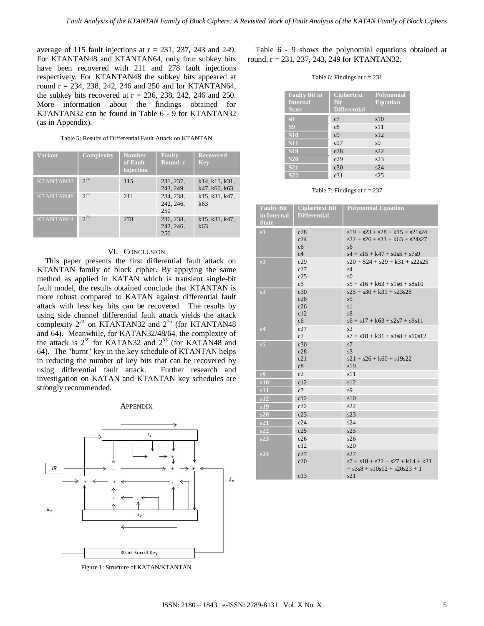average of 115 fault injections at  $r = 231, 237, 243$  and 249. For KTANTAN48 and KTANTAN64, only four subkey bits have been recovered with 211 and 278 fault injections respectively. For KTANTAN48 the subkey bits appeared at round r = 234, 238, 242, 246 and 250 and for KTANTAN64, the subkey bits recovered at  $r = 236$ , 238, 242, 246 and 250. More information about the findings obtained for KTANTAN32 can be found in Table 6 - 9 for KTANTAN32 (as in Appendix).

| Table 5: Results of Differential Fault Attack on KTANTAN |  |
|----------------------------------------------------------|--|
|----------------------------------------------------------|--|

| <b>Variant</b> | <b>Complexity</b> | Number<br>of Fault<br><b>Injection</b> | <b>Faulty</b><br>Round, r     | <b>Recovered</b><br><b>Key</b>  |
|----------------|-------------------|----------------------------------------|-------------------------------|---------------------------------|
| KTANTAN32      | $2^{74}$          | 115                                    | 231, 237,<br>243, 249         | k14. k15. k31.<br>k47, k60, k63 |
| KTANTAN48      | $2^{76}$          | 211                                    | 234, 238,<br>242, 246,<br>250 | k15, k31, k47,<br>k63           |
| KTANTAN64      | $2^{76}$          | 278                                    | 236, 238,<br>242, 246,<br>250 | k15, k31, k47,<br>k63           |

## VI. CONCLUSION

This paper presents the first differential fault attack on KTANTAN family of block cipher. By applying the same method as applied in KATAN which is transient single-bit fault model, the results obtained conclude that KTANTAN is more robust compared to KATAN against differential fault attack with less key bits can be recovered. The results by using side channel differential fault attack yields the attack complexity  $2^{74}$  on KTANTAN32 and  $2^{76}$  (for KTANTAN48 and 64). Meanwhile, for KATAN32/48/64, the complexity of the attack is  $2^{59}$  for KATAN32 and  $2^{55}$  (for KATAN48 and 64). The "burnt" key in the key schedule of KTANTAN helps in reducing the number of key bits that can be recovered by using differential fault attack. Further research and investigation on KATAN and KTANTAN key schedules are strongly recommended.

#### **APPENDIX**



Figure 1: Structure of KATAN/KTANTAN

Table 6 - 9 shows the polynomial equations obtained at round,  $r = 231, 237, 243, 249$  for KTANTAN32.

#### Table 6: Findings at  $r = 231$

| <b>Faulty Bit in</b><br><b>Internal</b><br><b>State</b> | <b>Ciphertext</b><br><b>Bit</b><br><b>Differential</b> | Polynomial<br><b>Equation</b> |
|---------------------------------------------------------|--------------------------------------------------------|-------------------------------|
| s8                                                      | c7                                                     | s10                           |
| S <sub>9</sub>                                          | c8                                                     | s11                           |
| <b>S10</b>                                              | c <sub>9</sub>                                         | s12                           |
| <b>S11</b>                                              | c17                                                    | s <sub>9</sub>                |
| <b>S19</b>                                              | c28                                                    | s22                           |
| <b>S20</b>                                              | c29                                                    | s23                           |
| <b>S21</b>                                              | c30                                                    | s24                           |
| S <sub>22</sub>                                         | c <sub>31</sub>                                        | s25                           |

Table 7: Findings at  $r = 237$ 

| <b>Faulty Bit</b> | <b>Ciphertext Bit</b> | <b>Polynomial Equation</b>         |
|-------------------|-----------------------|------------------------------------|
| in Internal       | <b>Differential</b>   |                                    |
| <b>State</b>      |                       |                                    |
| s1                | c28                   | $s19 + s23 + s28 + k15 + s21s24$   |
|                   | c24                   | $s22 + s26 + s31 + k63 + s24s27$   |
|                   | c6                    | sб                                 |
|                   | c4                    | $s4 + s15 + k47 + s0s5 + s7s9$     |
| s2                | c29                   | $s20 + S24 + s29 + k31 + s22s25$   |
|                   | c27                   | s4                                 |
|                   | c25                   | s <sub>0</sub>                     |
|                   | c <sub>5</sub>        | $s5 + s16 + k63 + s1s6 + s8s10$    |
| s <sub>3</sub>    | c30                   | $s25 + s30 + k31 + s23s26$         |
|                   | c28<br>c26            | s <sub>5</sub><br>s1               |
|                   | c12                   | s8                                 |
|                   | c6                    | $s6 + s17 + k63 + s2s7 + s9s11$    |
| s4                | c27                   | s2                                 |
|                   | c7                    | $s7 + s18 + k31 + s3s8 + s10s12$   |
| s <sub>5</sub>    | c30                   | s7                                 |
|                   | c28                   | s <sub>3</sub>                     |
|                   | c21                   | $s21 + s26 + k60 + s19s22$         |
|                   | c8                    | s19                                |
| s <sub>9</sub>    | c2                    | s11                                |
| s10               | c12                   | s12                                |
| s11               | c7                    | s <sub>9</sub>                     |
| s12               | c12                   | s10                                |
| s19               | c22                   | s22                                |
| s20               | c23                   | s23                                |
| s21               | c24                   | s24                                |
| s22               | c25                   | s25                                |
| s23               | c26                   | s26                                |
|                   | c12                   | s20                                |
| s24               | c27                   | s27                                |
|                   | c20                   | $s7 + s18 + s22 + s27 + k14 + k31$ |
|                   |                       | $+$ s3s8 + s10s12 + s20s23 + 1     |
|                   | c13                   | s21                                |